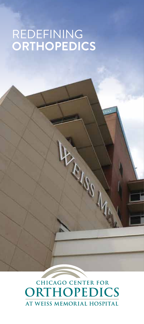## REDEFINING **ORTHOPEDICS**

# CHICAGO CENTER FOR AT WEISS MEMORIAL HOSPITAL

**PASSITION**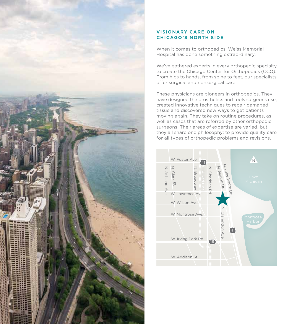

#### **VISIONARY CARE ON CHICAGO'S NORTH SIDE**

When it comes to orthopedics, Weiss Memorial Hospital has done something extraordinary.

We've gathered experts in every orthopedic specialty to create the Chicago Center for Orthopedics (CCO). From hips to hands, from spine to feet, our specialists offer surgical and nonsurgical care.

These physicians are pioneers in orthopedics. They have designed the prosthetics and tools surgeons use, created innovative techniques to repair damaged tissue and discovered new ways to get patients moving again. They take on routine procedures, as well as cases that are referred by other orthopedic surgeons. Their areas of expertise are varied, but they all share one philosophy: to provide quality care for all types of orthopedic problems and revisions.

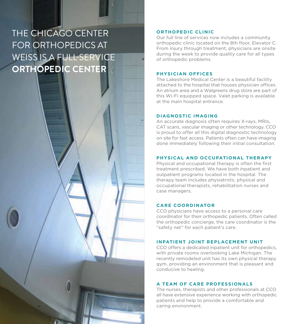### THE CHICAGO CENTER FOR ORTHOPEDICS AT WEISS IS A FULL-SERVICE **ORTHOPEDIC CENTER**

#### **ORTHOPEDIC CLINIC**

Our full line of services now includes a community orthopedic clinic located on the 8th floor, Elevator C. From injury through treatment, physicians are onsite during the week to provide quality care for all types of orthopedic problems.

#### **PHYSICIAN OFFICES**

The Lakeshore Medical Center is a beautiful facility attached to the hospital that houses physician offices. An atrium area and a Walgreens drug store are part of this Wi-Fi equipped space. Valet parking is available at the main hospital entrance.

#### **DIAGNOSTIC IMAGING**

An accurate diagnosis often requires X-rays, MRIs, CAT scans, vascular imaging or other technology. CCO is proud to offer all this digital diagnostic technology on site for fast access. Patients often can have imaging done immediately following their initial consultation.

#### **PHYSICAL AND OCCUPATIONAL THERAPY**

Physical and occupational therapy is often the first treatment prescribed. We have both inpatient and outpatient programs located in the hospital. The therapy team includes physiatrists, physical and occupational therapists, rehabilitation nurses and case managers.

#### **CARE COORDINATOR**

CCO physicians have access to a personal care coordinator for their orthopedic patients. Often called the orthopedic concierge, the care coordinator is the "safety net" for each patient's care.

#### **INPATIENT JOINT REPLACEMENT UNIT**

CCO offers a dedicated inpatient unit for orthopedics, with private rooms overlooking Lake Michigan. The recently remodeled unit has its own physical therapy gym, providing an environment that is pleasant and conducive to healing.

#### **A TEAM OF CARE PROFESSIONALS**

The nurses, therapists and other professionals at CCO all have extensive experience working with orthopedic patients and help to provide a comfortable and caring environment.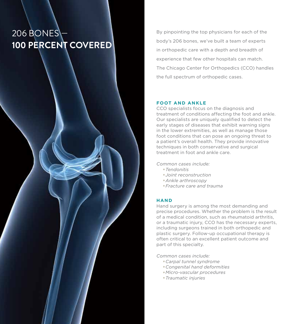### **206 BONES 100 PERCENT COVERED**

By pinpointing the top physicians for each of the body's 206 bones, we've built a team of experts in orthopedic care with a depth and breadth of experience that few other hospitals can match. The Chicago Center for Orthopedics (CCO) handles the full spectrum of orthopedic cases.

#### **FOOT AND ANKLE**

CCO specialists focus on the diagnosis and treatment of conditions affecting the foot and ankle. Our specialists are uniquely qualified to detect the early stages of diseases that exhibit warning signs in the lower extremities, as well as manage those foot conditions that can pose an ongoing threat to a patient's overall health. They provide innovative techniques in both conservative and surgical treatment in foot and ankle care.

*Common cases include:*

- •*Tendonitis*
- •*Joint reconstruction*
- •*Ankle arthroscopy*
- •*Fracture care and trauma*

#### **HAND**

Hand surgery is among the most demanding and precise procedures. Whether the problem is the result of a medical condition, such as rheumatoid arthritis, or a traumatic injury, CCO has the necessary experts, including surgeons trained in both orthopedic and plastic surgery. Follow-up occupational therapy is often critical to an excellent patient outcome and part of this specialty.

*Common cases include:*

- •*Carpal tunnel syndrome*
- •*Congenital hand deformities*
- •*Micro-vascular procedures*
- •*Traumatic injuries*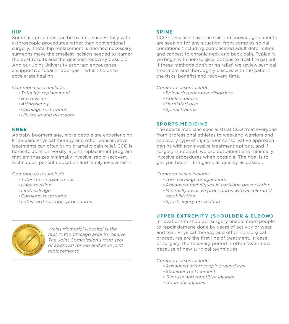#### **HIP**

Some hip problems can be treated successfully with arthroscopic procedures rather than conventional surgery. If total hip replacement is deemed necessary, surgeons make the smallest incision needed to garner the best results and the quickest recovery possible. And our Joint University program encourages a supportive "coach" approach, which helps to accelerate healing.

*Common cases include:*

- •*Total hip replacement*
- •*Hip revision*
- •*Arthroscopy*
- •*Cartilage restoration*
- •*Hip traumatic disorders*

#### **KNEE**

As baby boomers age, more people are experiencing knee pain. Physical therapy and other conservative treatments can often bring dramatic pain relief. CCO is home to Joint University, a joint replacement program that emphasizes minimally invasive, rapid-recovery techniques, patient education and family involvement.

*Common cases include:*

- •*Total knee replacement*
- •*Knee revision*
- •*Limb salvage*
- •*Cartilage restoration*
- •*Latest arthroscopic procedures*



*Weiss Memorial Hospital is the first in the Chicago area to receive The Joint Commission's gold seal of approval for hip and knee joint replacements.*

#### **SPINE**

CCO specialists have the skill and knowledge patients are seeking for any situation, from complex spinal conditions (including complicated adult deformities and cancer) to chronic neck and back pain. Typically, we begin with non-surgical options to treat the patient. If these methods don't bring relief, we review surgical treatment and thoroughly discuss with the patient the risks, benefits and recovery time.

*Common cases include:*

- •*Spinal degenerative disorders*
- •*Adult scoliosis*
- •*Herniated disc*
- •*Spinal trauma*

#### **SPORTS MEDICINE**

The sports medicine specialists at CCO treat everyone from professional athletes to weekend warriors and see every type of injury. Our conservative approach begins with noninvasive treatment options, and if surgery is needed, we use outpatient and minimally invasive procedures when possible. The goal is to get you back in the game as quickly as possible.

#### *Common cases include:*

- •*Torn cartilage or ligaments*
- •*Advanced techniques in cartilage preservation*
- •*Minimally invasive procedures with accelerated rehabilitation*
- •*Sports injury prevention*

#### **UPPER EXTREMITY (SHOULDER & ELBOW)**

Innovations in shoulder surgery enable more people to repair damage done by years of activity or wear and tear. Physical therapy and other nonsurgical procedures are the first line of treatment. In case of surgery, the recovery period is often faster now because of new surgical techniques.

#### *Common cases include:*

- •*Advanced arthroscopic procedures*
- •*Shoulder replacement*
- •*Overuse and repetitive injuries*
- •*Traumatic injuries*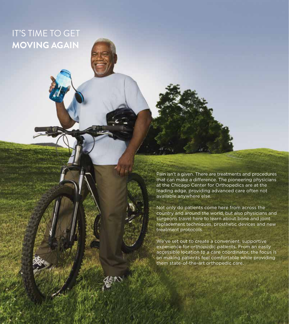### IT'S TIME TO GET **MOVING AGAIN**

Pain isn't a given. There are treatments and procedures that can make a difference. The pioneering physicians at the Chicago Center for Orthopedics are at the leading edge, providing advanced care often not available anywhere else.

Not only do patients come here from across the country and around the world, but also physicians and surgeons travel here to learn about bone and joint replacement techniques, prosthetic devices and new treatment protocols.

We've set out to create a convenient, supportive experience for orthopedic patients. From an easily accessible location to a care coordinator, the focus is on making patients feel comfortable while providing them state-of-the-art orthopedic care.